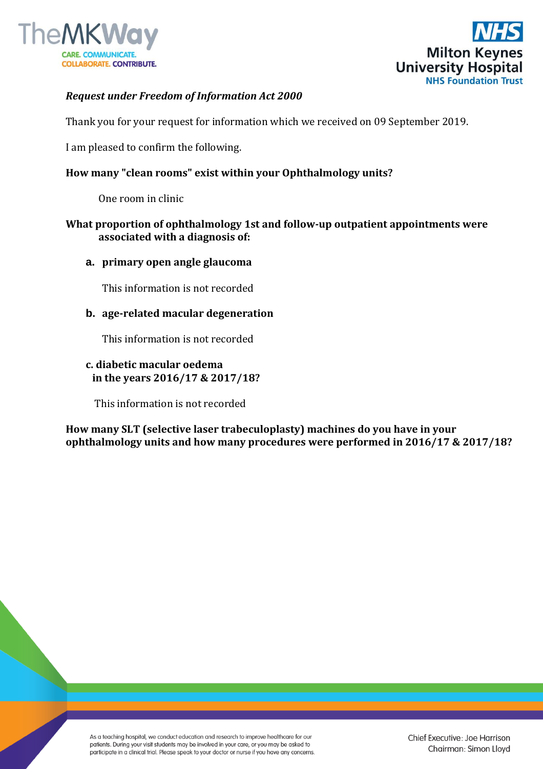



# *Request under Freedom of Information Act 2000*

Thank you for your request for information which we received on 09 September 2019.

I am pleased to confirm the following.

## **How many "clean rooms" exist within your Ophthalmology units?**

One room in clinic

### **What proportion of ophthalmology 1st and follow-up outpatient appointments were associated with a diagnosis of:**

**a. primary open angle glaucoma**

This information is not recorded

### **b. age-related macular degeneration**

This information is not recorded

## **c. diabetic macular oedema in the years 2016/17 & 2017/18?**

This information is not recorded

**How many SLT (selective laser trabeculoplasty) machines do you have in your ophthalmology units and how many procedures were performed in 2016/17 & 2017/18?**

As a teaching hospital, we conduct education and research to improve healthcare for our patients. During your visit students may be involved in your care, or you may be asked to participate in a clinical trial. Please speak to your doctor or nurse if you have any concerns.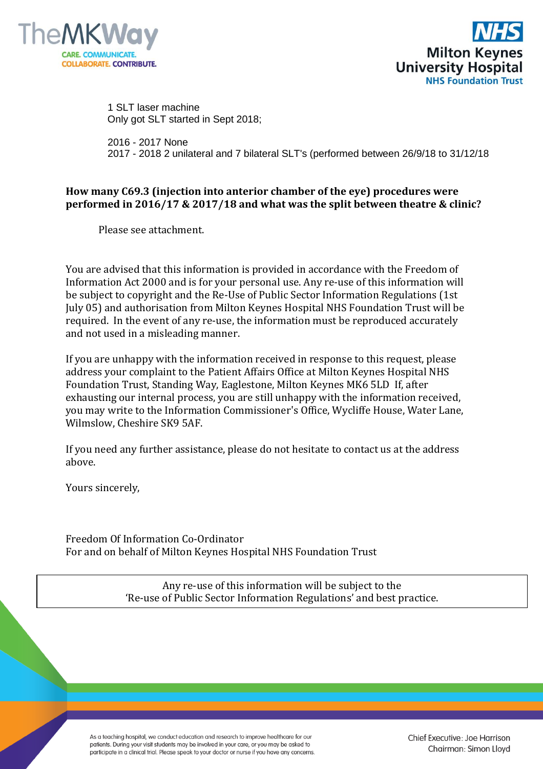



 1 SLT laser machine Only got SLT started in Sept 2018;

 2016 - 2017 None 2017 - 2018 2 unilateral and 7 bilateral SLT's (performed between 26/9/18 to 31/12/18

## **How many C69.3 (injection into anterior chamber of the eye) procedures were performed in 2016/17 & 2017/18 and what was the split between theatre & clinic?**

Please see attachment.

You are advised that this information is provided in accordance with the Freedom of Information Act 2000 and is for your personal use. Any re-use of this information will be subject to copyright and the Re-Use of Public Sector Information Regulations (1st July 05) and authorisation from Milton Keynes Hospital NHS Foundation Trust will be required. In the event of any re-use, the information must be reproduced accurately and not used in a misleading manner.

If you are unhappy with the information received in response to this request, please address your complaint to the Patient Affairs Office at Milton Keynes Hospital NHS Foundation Trust, Standing Way, Eaglestone, Milton Keynes MK6 5LD If, after exhausting our internal process, you are still unhappy with the information received, you may write to the Information Commissioner's Office, Wycliffe House, Water Lane, Wilmslow, Cheshire SK9 5AF.

If you need any further assistance, please do not hesitate to contact us at the address above.

Yours sincerely,

Freedom Of Information Co-Ordinator For and on behalf of Milton Keynes Hospital NHS Foundation Trust

> Any re-use of this information will be subject to the 'Re-use of Public Sector Information Regulations' and best practice.

As a teaching hospital, we conduct education and research to improve healthcare for our patients. During your visit students may be involved in your care, or you may be asked to participate in a clinical trial. Please speak to your doctor or nurse if you have any concerns. Chief Executive: Joe Harrison Chairman: Simon Lloyd